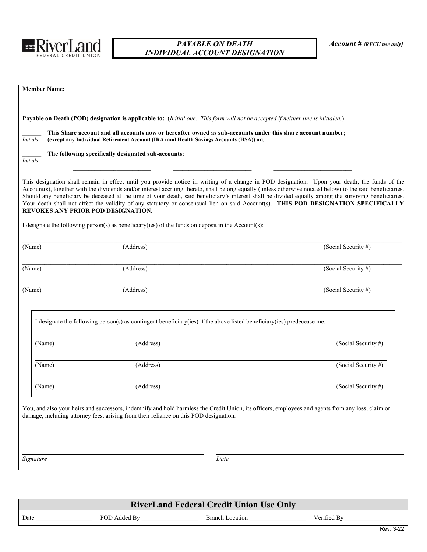

## *PAYABLE ON DEATH INDIVIDUAL ACCOUNT DESIGNATION*

|           | Payable on Death (POD) designation is applicable to: (Initial one. This form will not be accepted if neither line is initialed.)                                                                                                                                                                                                                                                                                                                                                                                                                                                                           |
|-----------|------------------------------------------------------------------------------------------------------------------------------------------------------------------------------------------------------------------------------------------------------------------------------------------------------------------------------------------------------------------------------------------------------------------------------------------------------------------------------------------------------------------------------------------------------------------------------------------------------------|
|           | This Share account and all accounts now or hereafter owned as sub-accounts under this share account number;                                                                                                                                                                                                                                                                                                                                                                                                                                                                                                |
|           |                                                                                                                                                                                                                                                                                                                                                                                                                                                                                                                                                                                                            |
|           | This designation shall remain in effect until you provide notice in writing of a change in POD designation. Upon your death, the funds of the<br>Account(s), together with the dividends and/or interest accruing thereto, shall belong equally (unless otherwise notated below) to the said beneficiaries.<br>Should any beneficiary be deceased at the time of your death, said beneficiary's interest shall be divided equally among the surviving beneficiaries.<br>Your death shall not affect the validity of any statutory or consensual lien on said Account(s). THIS POD DESIGNATION SPECIFICALLY |
| (Address) | (Social Security #)                                                                                                                                                                                                                                                                                                                                                                                                                                                                                                                                                                                        |
| (Address) | (Social Security #)                                                                                                                                                                                                                                                                                                                                                                                                                                                                                                                                                                                        |
| (Address) | (Social Security #)                                                                                                                                                                                                                                                                                                                                                                                                                                                                                                                                                                                        |
|           | I designate the following person(s) as contingent beneficiary(ies) if the above listed beneficiary(ies) predecease me:                                                                                                                                                                                                                                                                                                                                                                                                                                                                                     |
| (Address) | (Social Security #)                                                                                                                                                                                                                                                                                                                                                                                                                                                                                                                                                                                        |
| (Address) | (Social Security #)                                                                                                                                                                                                                                                                                                                                                                                                                                                                                                                                                                                        |
| (Address) | (Social Security #)                                                                                                                                                                                                                                                                                                                                                                                                                                                                                                                                                                                        |
|           | You, and also your heirs and successors, indemnify and hold harmless the Credit Union, its officers, employees and agents from any loss, claim or<br>Date                                                                                                                                                                                                                                                                                                                                                                                                                                                  |
|           | (except any Individual Retirement Account (IRA) and Health Savings Accounts (HSA)) or;<br>The following specifically designated sub-accounts:<br>REVOKES ANY PRIOR POD DESIGNATION.<br>I designate the following person(s) as beneficiary (ies) of the funds on deposit in the $Account(s)$ :<br>damage, including attorney fees, arising from their reliance on this POD designation.                                                                                                                                                                                                                     |

| <b>RiverLand Federal Credit Union Use Only</b> |              |                 |             |  |
|------------------------------------------------|--------------|-----------------|-------------|--|
| Date                                           | POD Added Bv | Branch Location | √erified Bv |  |